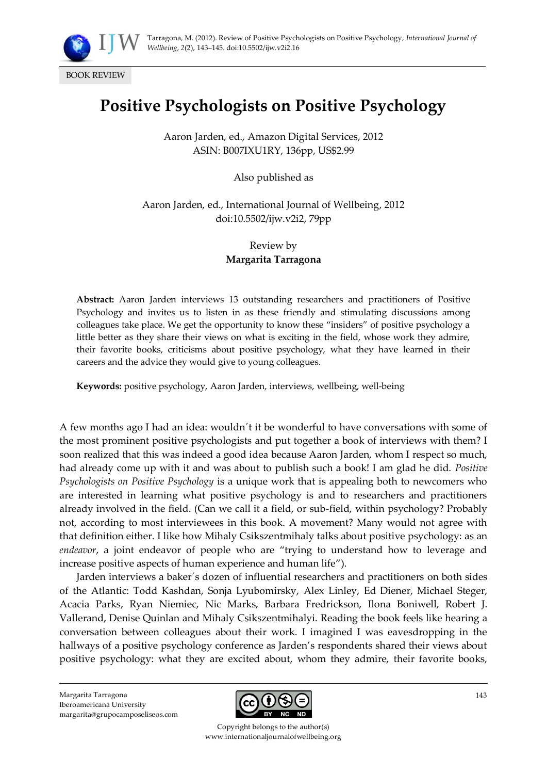

BOOK REVIEW

## **Positive Psychologists on Positive Psychology**

Aaron Jarden, ed., Amazon Digital Services, 2012 ASIN: B007IXU1RY, 136pp, US\$2.99

Also published as

Aaron Jarden, ed., International Journal of Wellbeing, 2012 doi:10.5502/ijw.v2i2, 79pp

> Review by **Margarita Tarragona**

**Abstract:** Aaron Jarden interviews 13 outstanding researchers and practitioners of Positive Psychology and invites us to listen in as these friendly and stimulating discussions among colleagues take place. We get the opportunity to know these 'insiders' of positive psychology a little better as they share their views on what is exciting in the field, whose work they admire, their favorite books, criticisms about positive psychology, what they have learned in their careers and the advice they would give to young colleagues.

**Keywords:** positive psychology, Aaron Jarden, interviews, wellbeing, well-being

A few months ago I had an idea: wouldn´t it be wonderful to have conversations with some of the most prominent positive psychologists and put together a book of interviews with them? I soon realized that this was indeed a good idea because Aaron Jarden, whom I respect so much, had already come up with it and was about to publish such a book! I am glad he did. *Positive Psychologists on Positive Psychology* is a unique work that is appealing both to newcomers who are interested in learning what positive psychology is and to researchers and practitioners already involved in the field. (Can we call it a field, or sub-field, within psychology? Probably not, according to most interviewees in this book. A movement? Many would not agree with that definition either. I like how Mihaly Csikszentmihaly talks about positive psychology: as an *endeavor*, a joint endeavor of people who are 'trying to understand how to leverage and increase positive aspects of human experience and human life').

Jarden interviews a baker´s dozen of influential researchers and practitioners on both sides of the Atlantic: Todd Kashdan, Sonja Lyubomirsky, Alex Linley, Ed Diener, Michael Steger, Acacia Parks, Ryan Niemiec, Nic Marks, Barbara Fredrickson, Ilona Boniwell, Robert J. Vallerand, Denise Quinlan and Mihaly Csikszentmihalyi. Reading the book feels like hearing a conversation between colleagues about their work. I imagined I was eavesdropping in the hallways of a positive psychology conference as Jarden's respondents shared their views about positive psychology: what they are excited about, whom they admire, their favorite books,

Margarita Tarragona Iberoamericana University margarita@grupocamposeliseos.com



Copyright belongs to the author(s) www.internationaljournalofwellbeing.org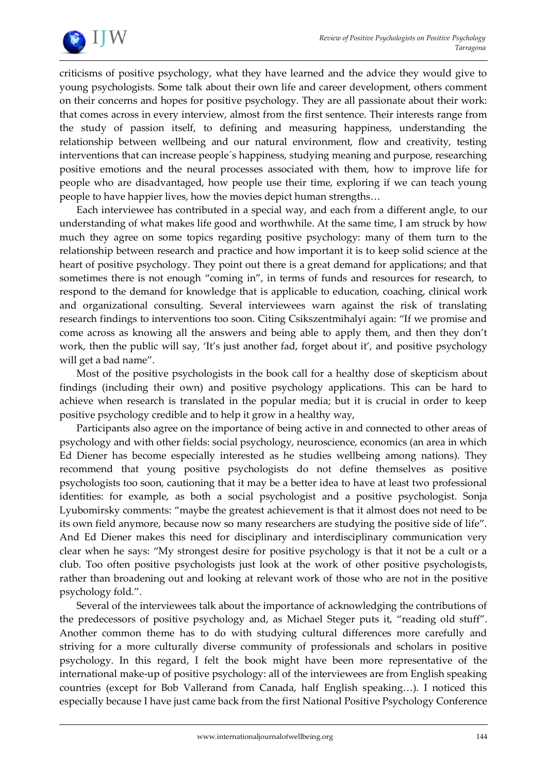

criticisms of positive psychology, what they have learned and the advice they would give to young psychologists. Some talk about their own life and career development, others comment on their concerns and hopes for positive psychology. They are all passionate about their work: that comes across in every interview, almost from the first sentence. Their interests range from the study of passion itself, to defining and measuring happiness, understanding the relationship between wellbeing and our natural environment, flow and creativity, testing interventions that can increase people´s happiness, studying meaning and purpose, researching positive emotions and the neural processes associated with them, how to improve life for people who are disadvantaged, how people use their time, exploring if we can teach young people to have happier lives, how the movies depict human strengths…

Each interviewee has contributed in a special way, and each from a different angle, to our understanding of what makes life good and worthwhile. At the same time, I am struck by how much they agree on some topics regarding positive psychology: many of them turn to the relationship between research and practice and how important it is to keep solid science at the heart of positive psychology. They point out there is a great demand for applications; and that sometimes there is not enough "coming in", in terms of funds and resources for research, to respond to the demand for knowledge that is applicable to education, coaching, clinical work and organizational consulting. Several interviewees warn against the risk of translating research findings to interventions too soon. Citing Csikszentmihalyi again: 'If we promise and come across as knowing all the answers and being able to apply them, and then they don't work, then the public will say, 'It's just another fad, forget about it', and positive psychology will get a bad name'.

Most of the positive psychologists in the book call for a healthy dose of skepticism about findings (including their own) and positive psychology applications. This can be hard to achieve when research is translated in the popular media; but it is crucial in order to keep positive psychology credible and to help it grow in a healthy way,

Participants also agree on the importance of being active in and connected to other areas of psychology and with other fields: social psychology, neuroscience, economics (an area in which Ed Diener has become especially interested as he studies wellbeing among nations). They recommend that young positive psychologists do not define themselves as positive psychologists too soon, cautioning that it may be a better idea to have at least two professional identities: for example, as both a social psychologist and a positive psychologist. Sonja Lyubomirsky comments: 'maybe the greatest achievement is that it almost does not need to be its own field anymore, because now so many researchers are studying the positive side of life'. And Ed Diener makes this need for disciplinary and interdisciplinary communication very clear when he says: 'My strongest desire for positive psychology is that it not be a cult or a club. Too often positive psychologists just look at the work of other positive psychologists, rather than broadening out and looking at relevant work of those who are not in the positive psychology fold.'.

Several of the interviewees talk about the importance of acknowledging the contributions of the predecessors of positive psychology and, as Michael Steger puts it, 'reading old stuff'. Another common theme has to do with studying cultural differences more carefully and striving for a more culturally diverse community of professionals and scholars in positive psychology. In this regard, I felt the book might have been more representative of the international make-up of positive psychology: all of the interviewees are from English speaking countries (except for Bob Vallerand from Canada, half English speaking…). I noticed this especially because I have just came back from the first National Positive Psychology Conference